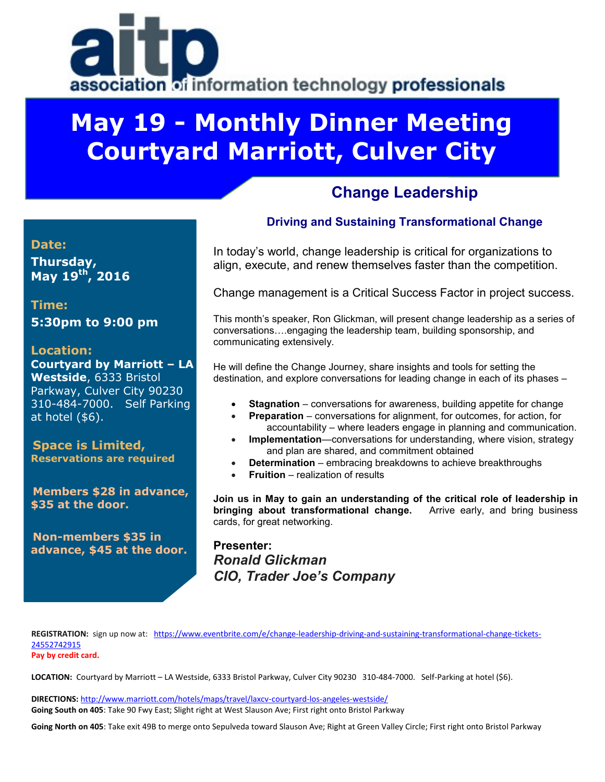# association of information technology professionals

## **May 19 - Monthly Dinner Meeting Courtyard Marriott, Culver City**

## **Change Leadership**

#### **Date:**

**Thursday, May 19th , 2016**

**Time: 5:30pm to 9:00 pm**

#### **Location:**

**Courtyard by Marriott – LA Westside**, 6333 Bristol Parkway, Culver City 90230 310-484-7000. Self Parking at hotel (\$6).

**Space is Limited, Reservations are required**

**Members \$28 in advance, \$35 at the door.**

**Non-members \$35 in advance, \$45 at the door.**

#### **Driving and Sustaining Transformational Change**

In today's world, change leadership is critical for organizations to align, execute, and renew themselves faster than the competition.

Change management is a Critical Success Factor in project success.

This month's speaker, Ron Glickman, will present change leadership as a series of conversations….engaging the leadership team, building sponsorship, and communicating extensively.

He will define the Change Journey, share insights and tools for setting the destination, and explore conversations for leading change in each of its phases –

- **Stagnation** conversations for awareness, building appetite for change
- **Preparation** conversations for alignment, for outcomes, for action, for accountability – where leaders engage in planning and communication.
- **Implementation**—conversations for understanding, where vision, strategy and plan are shared, and commitment obtained
- **Determination** embracing breakdowns to achieve breakthroughs
- **Fruition** realization of results

**Join us in May to gain an understanding of the critical role of leadership in bringing about transformational change.** Arrive early, and bring business cards, for great networking.

**Presenter:** *Ronald Glickman CIO, Trader Joe's Company*

**REGISTRATION:** sign up now at: [https://www.eventbrite.com/e/change-leadership-driving-and-sustaining-transformational-change-tickets-](https://www.eventbrite.com/e/change-leadership-driving-and-sustaining-transformational-change-tickets-24552742915)[24552742915](https://www.eventbrite.com/e/change-leadership-driving-and-sustaining-transformational-change-tickets-24552742915)

**Pay by credit card.** 

**LOCATION:** Courtyard by Marriott – LA Westside, 6333 Bristol Parkway, Culver City 90230 310-484-7000. Self-Parking at hotel (\$6).

**DIRECTIONS:** <http://www.marriott.com/hotels/maps/travel/laxcv-courtyard-los-angeles-westside/> **Going South on 405**: Take 90 Fwy East; Slight right at West Slauson Ave; First right onto Bristol Parkway

**Going North on 405**: Take exit 49B to merge onto Sepulveda toward Slauson Ave; Right at Green Valley Circle; First right onto Bristol Parkway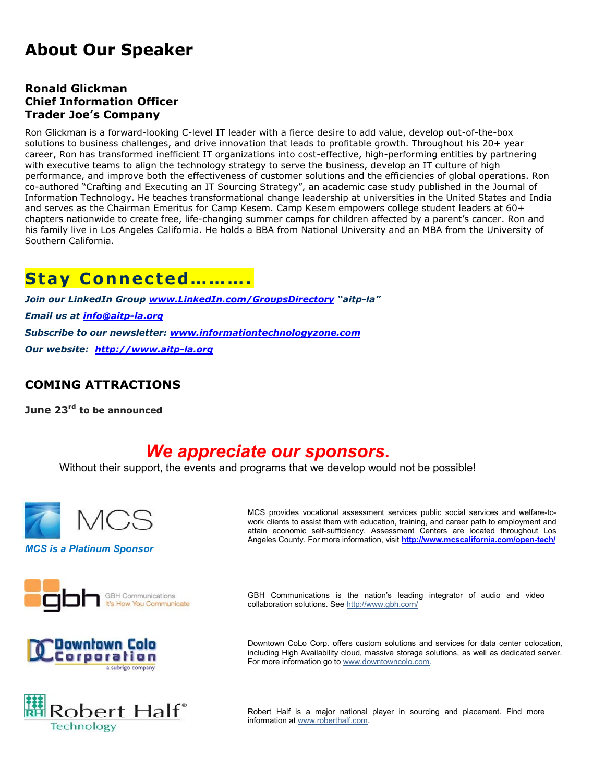## **About Our Speaker**

#### **Ronald Glickman Chief Information Officer Trader Joe's Company**

Ron Glickman is a forward-looking C-level IT leader with a fierce desire to add value, develop out-of-the-box solutions to business challenges, and drive innovation that leads to profitable growth. Throughout his 20+ year career, Ron has transformed inefficient IT organizations into cost-effective, high-performing entities by partnering with executive teams to align the technology strategy to serve the business, develop an IT culture of high performance, and improve both the effectiveness of customer solutions and the efficiencies of global operations. Ron co-authored "Crafting and Executing an IT Sourcing Strategy", an academic case study published in the Journal of Information Technology. He teaches transformational change leadership at universities in the United States and India and serves as the Chairman Emeritus for Camp Kesem. Camp Kesem empowers college student leaders at 60+ chapters nationwide to create free, life-changing summer camps for children affected by a parent's cancer. Ron and his family live in Los Angeles California. He holds a BBA from National University and an MBA from the University of Southern California.

## Stay Connected..........

*Join our LinkedIn Group [www.LinkedIn.com/GroupsDirectory](http://www.linkedin.com/GroupsDirectory) "aitp-la" Email us at [info@aitp-la.org](mailto:info@aitp-la.org) Subscribe to our newsletter: [www.informationtechnologyzone.com](http://www.informationtechnologyzone.com/) Our website: [http://www.aitp-la.org](http://www.aitp-la.org/)*

#### **COMING ATTRACTIONS**

**June 23rd to be announced**

## *We appreciate our sponsors***.**

Without their support, the events and programs that we develop would not be possible!









MCS provides vocational assessment services public social services and welfare-towork clients to assist them with education, training, and career path to employment and attain economic self-sufficiency. Assessment Centers are located throughout Los Angeles County. For more information, visit **<http://www.mcscalifornia.com/open-tech/>**

GBH Communications is the nation's leading integrator of audio and video collaboration solutions. Se[e http://www.gbh.com/](http://www.gbh.com/)

Downtown CoLo Corp. offers custom solutions and services for data center colocation, including High Availability cloud, massive storage solutions, as well as dedicated server. For more information go t[o www.downtowncolo.com.](http://www.downtowncolo.com/)

Robert Half is a major national player in sourcing and placement. Find more information at [www.roberthalf.com.](http://www.roberthalf.com/)